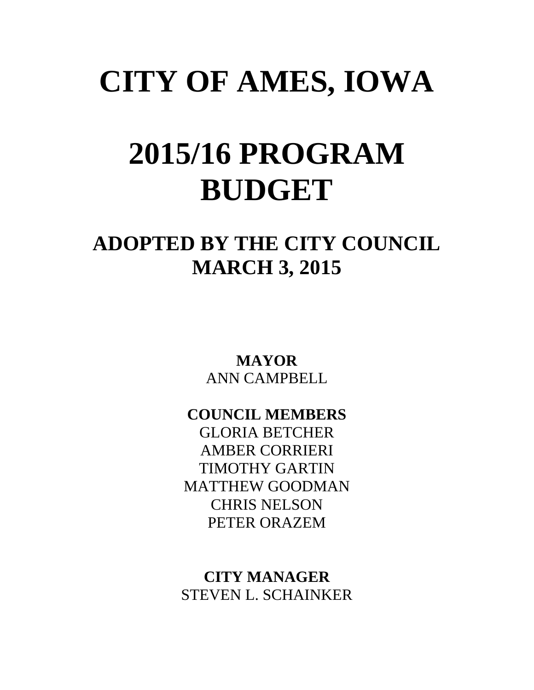## **CITY OF AMES, IOWA**

## **2015/16 PROGRAM BUDGET**

### **ADOPTED BY THE CITY COUNCIL MARCH 3, 2015**

**MAYOR** ANN CAMPBELL

**COUNCIL MEMBERS** GLORIA BETCHER AMBER CORRIERI

TIMOTHY GARTIN MATTHEW GOODMAN CHRIS NELSON PETER ORAZEM

**CITY MANAGER** STEVEN L. SCHAINKER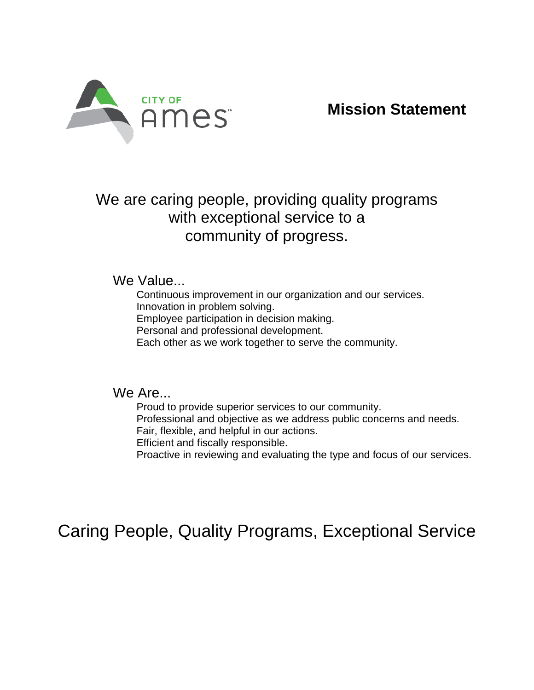

**Mission Statement**

We are caring people, providing quality programs with exceptional service to a community of progress.

We Value...

Continuous improvement in our organization and our services. Innovation in problem solving.

Employee participation in decision making.

Personal and professional development.

Each other as we work together to serve the community.

We Are...

Proud to provide superior services to our community. Professional and objective as we address public concerns and needs. Fair, flexible, and helpful in our actions. Efficient and fiscally responsible. Proactive in reviewing and evaluating the type and focus of our services.

Caring People, Quality Programs, Exceptional Service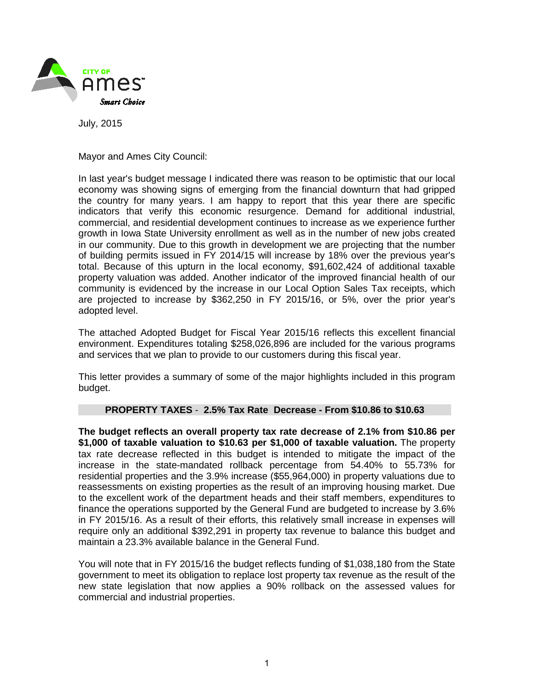

July, 2015

Mayor and Ames City Council:

In last year's budget message I indicated there was reason to be optimistic that our local economy was showing signs of emerging from the financial downturn that had gripped the country for many years. I am happy to report that this year there are specific indicators that verify this economic resurgence. Demand for additional industrial, commercial, and residential development continues to increase as we experience further growth in Iowa State University enrollment as well as in the number of new jobs created in our community. Due to this growth in development we are projecting that the number of building permits issued in FY 2014/15 will increase by 18% over the previous year's total. Because of this upturn in the local economy, \$91,602,424 of additional taxable property valuation was added. Another indicator of the improved financial health of our community is evidenced by the increase in our Local Option Sales Tax receipts, which are projected to increase by \$362,250 in FY 2015/16, or 5%, over the prior year's adopted level.

The attached Adopted Budget for Fiscal Year 2015/16 reflects this excellent financial environment. Expenditures totaling \$258,026,896 are included for the various programs and services that we plan to provide to our customers during this fiscal year.

This letter provides a summary of some of the major highlights included in this program budget.

#### **PROPERTY TAXES** - **2.5% Tax Rate Decrease - From \$10.86 to \$10.63**

**The budget reflects an overall property tax rate decrease of 2.1% from \$10.86 per \$1,000 of taxable valuation to \$10.63 per \$1,000 of taxable valuation.** The property tax rate decrease reflected in this budget is intended to mitigate the impact of the increase in the state-mandated rollback percentage from 54.40% to 55.73% for residential properties and the 3.9% increase (\$55,964,000) in property valuations due to reassessments on existing properties as the result of an improving housing market. Due to the excellent work of the department heads and their staff members, expenditures to finance the operations supported by the General Fund are budgeted to increase by 3.6% in FY 2015/16. As a result of their efforts, this relatively small increase in expenses will require only an additional \$392,291 in property tax revenue to balance this budget and maintain a 23.3% available balance in the General Fund.

You will note that in FY 2015/16 the budget reflects funding of \$1,038,180 from the State government to meet its obligation to replace lost property tax revenue as the result of the new state legislation that now applies a 90% rollback on the assessed values for commercial and industrial properties.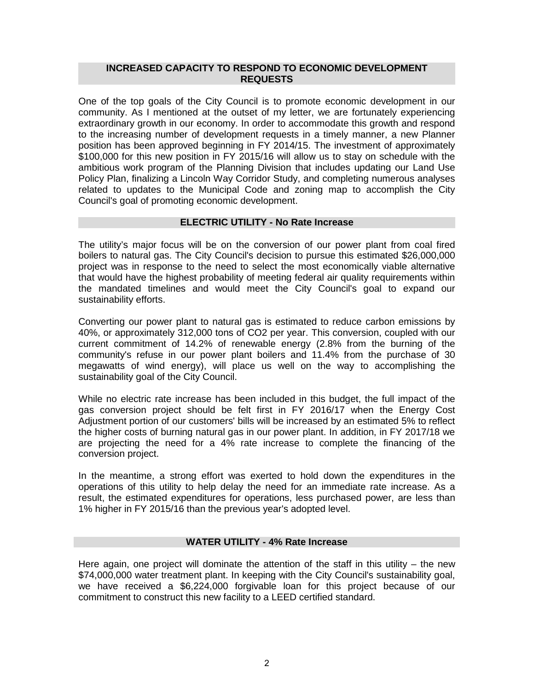#### **INCREASED CAPACITY TO RESPOND TO ECONOMIC DEVELOPMENT REQUESTS**

One of the top goals of the City Council is to promote economic development in our community. As I mentioned at the outset of my letter, we are fortunately experiencing extraordinary growth in our economy. In order to accommodate this growth and respond to the increasing number of development requests in a timely manner, a new Planner position has been approved beginning in FY 2014/15. The investment of approximately \$100,000 for this new position in FY 2015/16 will allow us to stay on schedule with the ambitious work program of the Planning Division that includes updating our Land Use Policy Plan, finalizing a Lincoln Way Corridor Study, and completing numerous analyses related to updates to the Municipal Code and zoning map to accomplish the City Council's goal of promoting economic development.

#### **ELECTRIC UTILITY - No Rate Increase**

The utility's major focus will be on the conversion of our power plant from coal fired boilers to natural gas. The City Council's decision to pursue this estimated \$26,000,000 project was in response to the need to select the most economically viable alternative that would have the highest probability of meeting federal air quality requirements within the mandated timelines and would meet the City Council's goal to expand our sustainability efforts.

Converting our power plant to natural gas is estimated to reduce carbon emissions by 40%, or approximately 312,000 tons of CO2 per year. This conversion, coupled with our current commitment of 14.2% of renewable energy (2.8% from the burning of the community's refuse in our power plant boilers and 11.4% from the purchase of 30 megawatts of wind energy), will place us well on the way to accomplishing the sustainability goal of the City Council.

While no electric rate increase has been included in this budget, the full impact of the gas conversion project should be felt first in FY 2016/17 when the Energy Cost Adjustment portion of our customers' bills will be increased by an estimated 5% to reflect the higher costs of burning natural gas in our power plant. In addition, in FY 2017/18 we are projecting the need for a 4% rate increase to complete the financing of the conversion project.

In the meantime, a strong effort was exerted to hold down the expenditures in the operations of this utility to help delay the need for an immediate rate increase. As a result, the estimated expenditures for operations, less purchased power, are less than 1% higher in FY 2015/16 than the previous year's adopted level.

#### **WATER UTILITY - 4% Rate Increase**

Here again, one project will dominate the attention of the staff in this utility – the new \$74,000,000 water treatment plant. In keeping with the City Council's sustainability goal, we have received a \$6,224,000 forgivable loan for this project because of our commitment to construct this new facility to a LEED certified standard.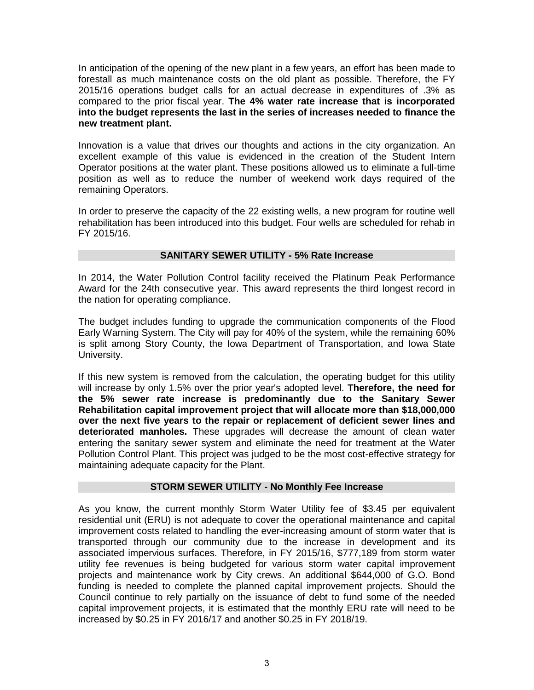In anticipation of the opening of the new plant in a few years, an effort has been made to forestall as much maintenance costs on the old plant as possible. Therefore, the FY 2015/16 operations budget calls for an actual decrease in expenditures of .3% as compared to the prior fiscal year. **The 4% water rate increase that is incorporated into the budget represents the last in the series of increases needed to finance the new treatment plant.**

Innovation is a value that drives our thoughts and actions in the city organization. An excellent example of this value is evidenced in the creation of the Student Intern Operator positions at the water plant. These positions allowed us to eliminate a full-time position as well as to reduce the number of weekend work days required of the remaining Operators.

In order to preserve the capacity of the 22 existing wells, a new program for routine well rehabilitation has been introduced into this budget. Four wells are scheduled for rehab in FY 2015/16.

#### **SANITARY SEWER UTILITY - 5% Rate Increase**

In 2014, the Water Pollution Control facility received the Platinum Peak Performance Award for the 24th consecutive year. This award represents the third longest record in the nation for operating compliance.

The budget includes funding to upgrade the communication components of the Flood Early Warning System. The City will pay for 40% of the system, while the remaining 60% is split among Story County, the Iowa Department of Transportation, and Iowa State University.

If this new system is removed from the calculation, the operating budget for this utility will increase by only 1.5% over the prior year's adopted level. **Therefore, the need for the 5% sewer rate increase is predominantly due to the Sanitary Sewer Rehabilitation capital improvement project that will allocate more than \$18,000,000 over the next five years to the repair or replacement of deficient sewer lines and deteriorated manholes.** These upgrades will decrease the amount of clean water entering the sanitary sewer system and eliminate the need for treatment at the Water Pollution Control Plant. This project was judged to be the most cost-effective strategy for maintaining adequate capacity for the Plant.

#### **STORM SEWER UTILITY - No Monthly Fee Increase**

As you know, the current monthly Storm Water Utility fee of \$3.45 per equivalent residential unit (ERU) is not adequate to cover the operational maintenance and capital improvement costs related to handling the ever-increasing amount of storm water that is transported through our community due to the increase in development and its associated impervious surfaces. Therefore, in FY 2015/16, \$777,189 from storm water utility fee revenues is being budgeted for various storm water capital improvement projects and maintenance work by City crews. An additional \$644,000 of G.O. Bond funding is needed to complete the planned capital improvement projects. Should the Council continue to rely partially on the issuance of debt to fund some of the needed capital improvement projects, it is estimated that the monthly ERU rate will need to be increased by \$0.25 in FY 2016/17 and another \$0.25 in FY 2018/19.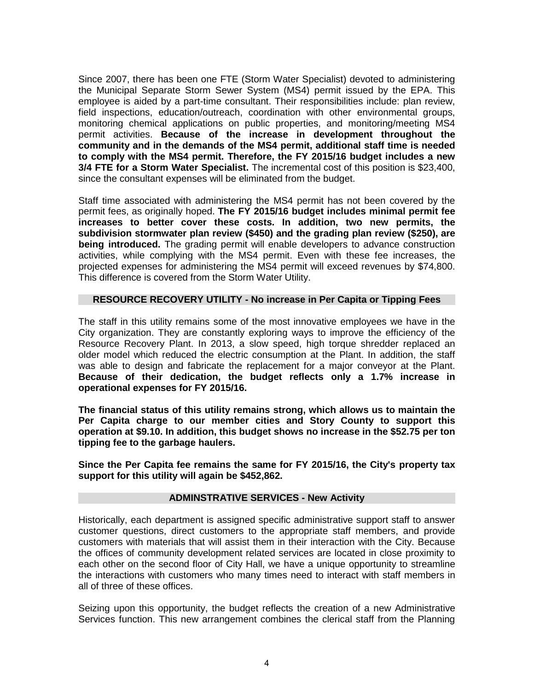Since 2007, there has been one FTE (Storm Water Specialist) devoted to administering the Municipal Separate Storm Sewer System (MS4) permit issued by the EPA. This employee is aided by a part-time consultant. Their responsibilities include: plan review, field inspections, education/outreach, coordination with other environmental groups, monitoring chemical applications on public properties, and monitoring/meeting MS4 permit activities. **Because of the increase in development throughout the community and in the demands of the MS4 permit, additional staff time is needed to comply with the MS4 permit. Therefore, the FY 2015/16 budget includes a new 3/4 FTE for a Storm Water Specialist.** The incremental cost of this position is \$23,400, since the consultant expenses will be eliminated from the budget.

Staff time associated with administering the MS4 permit has not been covered by the permit fees, as originally hoped. **The FY 2015/16 budget includes minimal permit fee increases to better cover these costs. In addition, two new permits, the subdivision stormwater plan review (\$450) and the grading plan review (\$250), are being introduced.** The grading permit will enable developers to advance construction activities, while complying with the MS4 permit. Even with these fee increases, the projected expenses for administering the MS4 permit will exceed revenues by \$74,800. This difference is covered from the Storm Water Utility.

#### **RESOURCE RECOVERY UTILITY - No increase in Per Capita or Tipping Fees**

The staff in this utility remains some of the most innovative employees we have in the City organization. They are constantly exploring ways to improve the efficiency of the Resource Recovery Plant. In 2013, a slow speed, high torque shredder replaced an older model which reduced the electric consumption at the Plant. In addition, the staff was able to design and fabricate the replacement for a major conveyor at the Plant. **Because of their dedication, the budget reflects only a 1.7% increase in operational expenses for FY 2015/16.**

**The financial status of this utility remains strong, which allows us to maintain the Per Capita charge to our member cities and Story County to support this operation at \$9.10. In addition, this budget shows no increase in the \$52.75 per ton tipping fee to the garbage haulers.**

**Since the Per Capita fee remains the same for FY 2015/16, the City's property tax support for this utility will again be \$452,862.**

#### **ADMINSTRATIVE SERVICES - New Activity**

Historically, each department is assigned specific administrative support staff to answer customer questions, direct customers to the appropriate staff members, and provide customers with materials that will assist them in their interaction with the City. Because the offices of community development related services are located in close proximity to each other on the second floor of City Hall, we have a unique opportunity to streamline the interactions with customers who many times need to interact with staff members in all of three of these offices.

Seizing upon this opportunity, the budget reflects the creation of a new Administrative Services function. This new arrangement combines the clerical staff from the Planning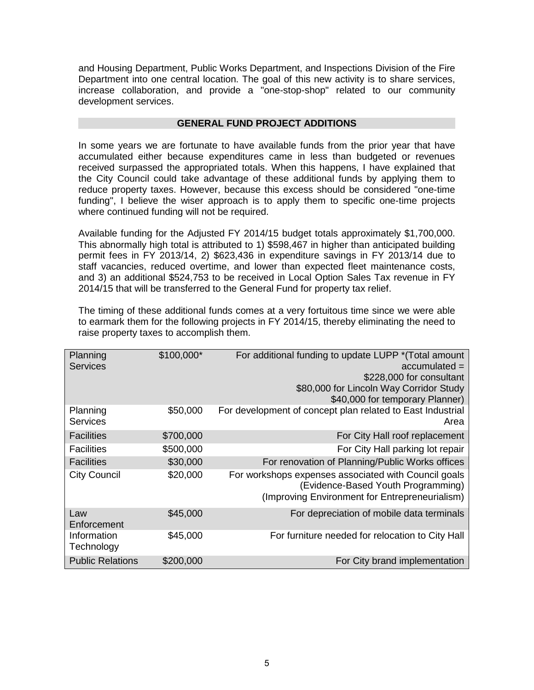and Housing Department, Public Works Department, and Inspections Division of the Fire Department into one central location. The goal of this new activity is to share services, increase collaboration, and provide a "one-stop-shop" related to our community development services.

#### **GENERAL FUND PROJECT ADDITIONS**

In some years we are fortunate to have available funds from the prior year that have accumulated either because expenditures came in less than budgeted or revenues received surpassed the appropriated totals. When this happens, I have explained that the City Council could take advantage of these additional funds by applying them to reduce property taxes. However, because this excess should be considered "one-time funding", I believe the wiser approach is to apply them to specific one-time projects where continued funding will not be required.

Available funding for the Adjusted FY 2014/15 budget totals approximately \$1,700,000. This abnormally high total is attributed to 1) \$598,467 in higher than anticipated building permit fees in FY 2013/14, 2) \$623,436 in expenditure savings in FY 2013/14 due to staff vacancies, reduced overtime, and lower than expected fleet maintenance costs, and 3) an additional \$524,753 to be received in Local Option Sales Tax revenue in FY 2014/15 that will be transferred to the General Fund for property tax relief.

The timing of these additional funds comes at a very fortuitous time since we were able to earmark them for the following projects in FY 2014/15, thereby eliminating the need to raise property taxes to accomplish them.

| Planning<br><b>Services</b> | \$100,000* | For additional funding to update LUPP * (Total amount<br>$accumulated =$<br>\$228,000 for consultant<br>\$80,000 for Lincoln Way Corridor Study<br>\$40,000 for temporary Planner) |
|-----------------------------|------------|------------------------------------------------------------------------------------------------------------------------------------------------------------------------------------|
| Planning<br>Services        | \$50,000   | For development of concept plan related to East Industrial<br>Area                                                                                                                 |
| <b>Facilities</b>           | \$700,000  | For City Hall roof replacement                                                                                                                                                     |
| <b>Facilities</b>           | \$500,000  | For City Hall parking lot repair                                                                                                                                                   |
| <b>Facilities</b>           | \$30,000   | For renovation of Planning/Public Works offices                                                                                                                                    |
| <b>City Council</b>         | \$20,000   | For workshops expenses associated with Council goals<br>(Evidence-Based Youth Programming)<br>(Improving Environment for Entrepreneurialism)                                       |
| Law<br>Enforcement          | \$45,000   | For depreciation of mobile data terminals                                                                                                                                          |
| Information<br>Technology   | \$45,000   | For furniture needed for relocation to City Hall                                                                                                                                   |
| <b>Public Relations</b>     | \$200,000  | For City brand implementation                                                                                                                                                      |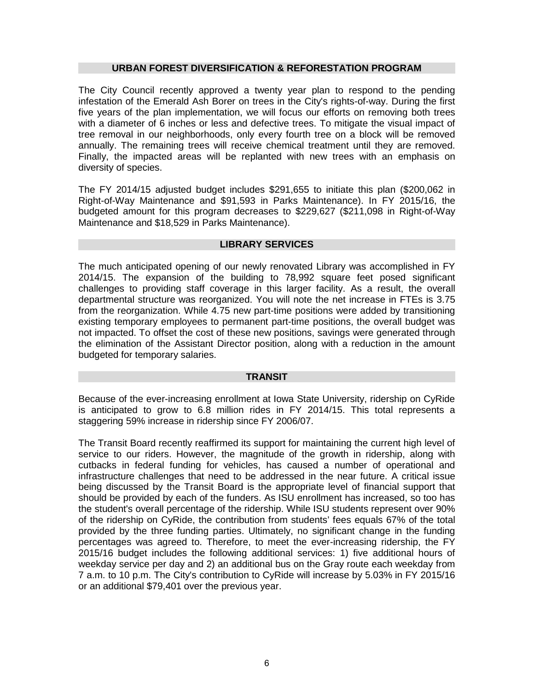#### **URBAN FOREST DIVERSIFICATION & REFORESTATION PROGRAM**

The City Council recently approved a twenty year plan to respond to the pending infestation of the Emerald Ash Borer on trees in the City's rights-of-way. During the first five years of the plan implementation, we will focus our efforts on removing both trees with a diameter of 6 inches or less and defective trees. To mitigate the visual impact of tree removal in our neighborhoods, only every fourth tree on a block will be removed annually. The remaining trees will receive chemical treatment until they are removed. Finally, the impacted areas will be replanted with new trees with an emphasis on diversity of species.

The FY 2014/15 adjusted budget includes \$291,655 to initiate this plan (\$200,062 in Right-of-Way Maintenance and \$91,593 in Parks Maintenance). In FY 2015/16, the budgeted amount for this program decreases to \$229,627 (\$211,098 in Right-of-Way Maintenance and \$18,529 in Parks Maintenance).

#### **LIBRARY SERVICES**

The much anticipated opening of our newly renovated Library was accomplished in FY 2014/15. The expansion of the building to 78,992 square feet posed significant challenges to providing staff coverage in this larger facility. As a result, the overall departmental structure was reorganized. You will note the net increase in FTEs is 3.75 from the reorganization. While 4.75 new part-time positions were added by transitioning existing temporary employees to permanent part-time positions, the overall budget was not impacted. To offset the cost of these new positions, savings were generated through the elimination of the Assistant Director position, along with a reduction in the amount budgeted for temporary salaries.

#### **TRANSIT**

Because of the ever-increasing enrollment at Iowa State University, ridership on CyRide is anticipated to grow to 6.8 million rides in FY 2014/15. This total represents a staggering 59% increase in ridership since FY 2006/07.

The Transit Board recently reaffirmed its support for maintaining the current high level of service to our riders. However, the magnitude of the growth in ridership, along with cutbacks in federal funding for vehicles, has caused a number of operational and infrastructure challenges that need to be addressed in the near future. A critical issue being discussed by the Transit Board is the appropriate level of financial support that should be provided by each of the funders. As ISU enrollment has increased, so too has the student's overall percentage of the ridership. While ISU students represent over 90% of the ridership on CyRide, the contribution from students' fees equals 67% of the total provided by the three funding parties. Ultimately, no significant change in the funding percentages was agreed to. Therefore, to meet the ever-increasing ridership, the FY 2015/16 budget includes the following additional services: 1) five additional hours of weekday service per day and 2) an additional bus on the Gray route each weekday from 7 a.m. to 10 p.m. The City's contribution to CyRide will increase by 5.03% in FY 2015/16 or an additional \$79,401 over the previous year.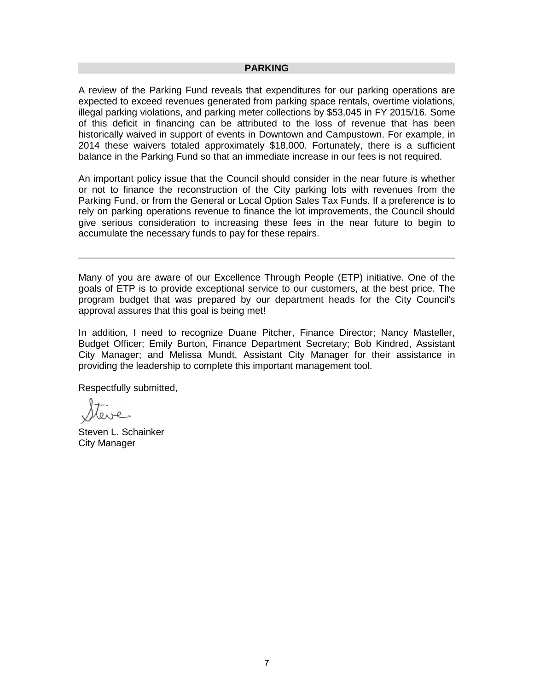#### **PARKING**

A review of the Parking Fund reveals that expenditures for our parking operations are expected to exceed revenues generated from parking space rentals, overtime violations, illegal parking violations, and parking meter collections by \$53,045 in FY 2015/16. Some of this deficit in financing can be attributed to the loss of revenue that has been historically waived in support of events in Downtown and Campustown. For example, in 2014 these waivers totaled approximately \$18,000. Fortunately, there is a sufficient balance in the Parking Fund so that an immediate increase in our fees is not required.

An important policy issue that the Council should consider in the near future is whether or not to finance the reconstruction of the City parking lots with revenues from the Parking Fund, or from the General or Local Option Sales Tax Funds. If a preference is to rely on parking operations revenue to finance the lot improvements, the Council should give serious consideration to increasing these fees in the near future to begin to accumulate the necessary funds to pay for these repairs.

Many of you are aware of our Excellence Through People (ETP) initiative. One of the goals of ETP is to provide exceptional service to our customers, at the best price. The program budget that was prepared by our department heads for the City Council's approval assures that this goal is being met!

In addition, I need to recognize Duane Pitcher, Finance Director; Nancy Masteller, Budget Officer; Emily Burton, Finance Department Secretary; Bob Kindred, Assistant City Manager; and Melissa Mundt, Assistant City Manager for their assistance in providing the leadership to complete this important management tool.

Respectfully submitted,

leve

Steven L. Schainker City Manager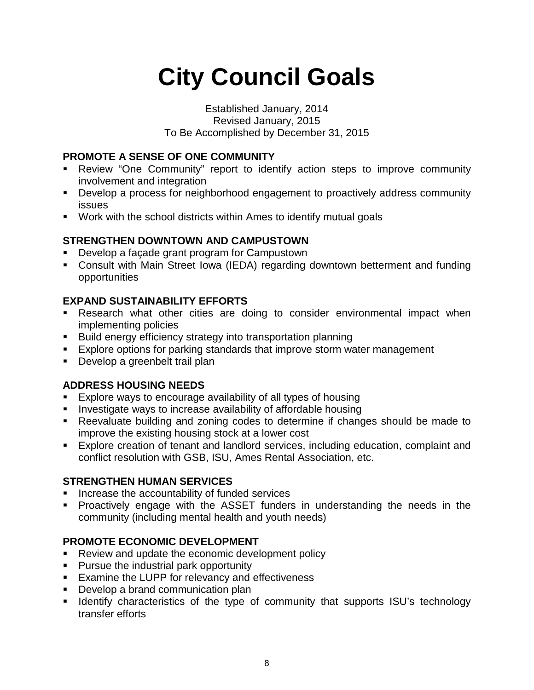## **City Council Goals**

#### Established January, 2014 Revised January, 2015 To Be Accomplished by December 31, 2015

#### **PROMOTE A SENSE OF ONE COMMUNITY**

- Review "One Community" report to identify action steps to improve community involvement and integration
- Develop a process for neighborhood engagement to proactively address community issues
- Work with the school districts within Ames to identify mutual goals

#### **STRENGTHEN DOWNTOWN AND CAMPUSTOWN**

- **Develop a façade grant program for Campustown**
- Consult with Main Street Iowa (IEDA) regarding downtown betterment and funding opportunities

#### **EXPAND SUSTAINABILITY EFFORTS**

- Research what other cities are doing to consider environmental impact when implementing policies
- **Build energy efficiency strategy into transportation planning**
- **Explore options for parking standards that improve storm water management**
- **Develop a greenbelt trail plan**

#### **ADDRESS HOUSING NEEDS**

- Explore ways to encourage availability of all types of housing
- **I** Investigate ways to increase availability of affordable housing
- Reevaluate building and zoning codes to determine if changes should be made to improve the existing housing stock at a lower cost
- Explore creation of tenant and landlord services, including education, complaint and conflict resolution with GSB, ISU, Ames Rental Association, etc.

#### **STRENGTHEN HUMAN SERVICES**

- **Increase the accountability of funded services**
- Proactively engage with the ASSET funders in understanding the needs in the community (including mental health and youth needs)

#### **PROMOTE ECONOMIC DEVELOPMENT**

- Review and update the economic development policy
- **Pursue the industrial park opportunity**
- **Examine the LUPP for relevancy and effectiveness**
- **Develop a brand communication plan**
- **If Identify characteristics of the type of community that supports ISU's technology** transfer efforts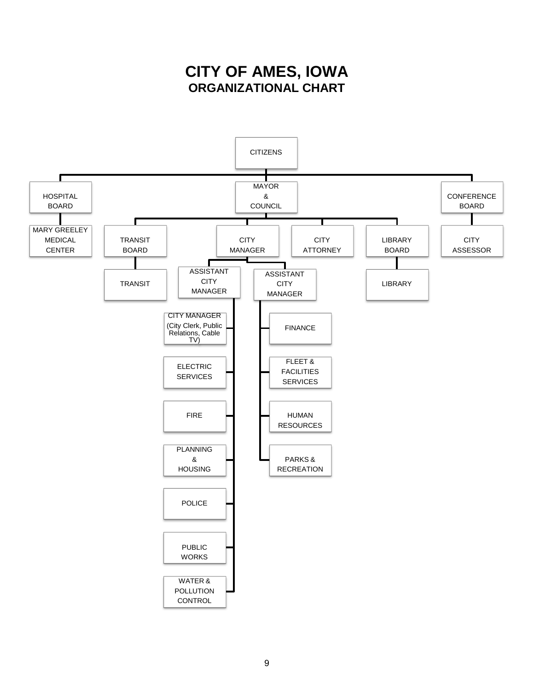### **CITY OF AMES, IOWA ORGANIZATIONAL CHART**

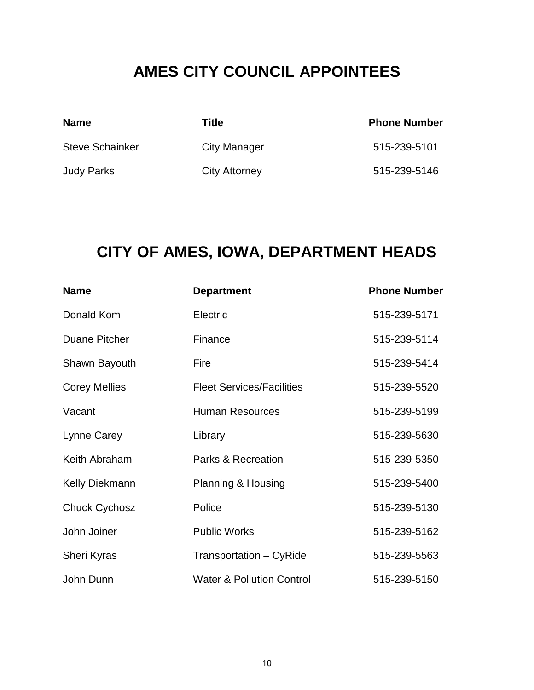### **AMES CITY COUNCIL APPOINTEES**

| <b>Name</b>            | Title         | <b>Phone Number</b> |
|------------------------|---------------|---------------------|
| <b>Steve Schainker</b> | City Manager  | 515-239-5101        |
| <b>Judy Parks</b>      | City Attorney | 515-239-5146        |

### **CITY OF AMES, IOWA, DEPARTMENT HEADS**

| <b>Name</b>           | <b>Department</b>                    | <b>Phone Number</b> |
|-----------------------|--------------------------------------|---------------------|
| Donald Kom            | Electric                             | 515-239-5171        |
| <b>Duane Pitcher</b>  | Finance                              | 515-239-5114        |
| Shawn Bayouth         | Fire                                 | 515-239-5414        |
| <b>Corey Mellies</b>  | <b>Fleet Services/Facilities</b>     | 515-239-5520        |
| Vacant                | <b>Human Resources</b>               | 515-239-5199        |
| Lynne Carey           | Library                              | 515-239-5630        |
| Keith Abraham         | Parks & Recreation                   | 515-239-5350        |
| <b>Kelly Diekmann</b> | Planning & Housing                   | 515-239-5400        |
| <b>Chuck Cychosz</b>  | Police                               | 515-239-5130        |
| John Joiner           | <b>Public Works</b>                  | 515-239-5162        |
| Sheri Kyras           | Transportation - CyRide              | 515-239-5563        |
| John Dunn             | <b>Water &amp; Pollution Control</b> | 515-239-5150        |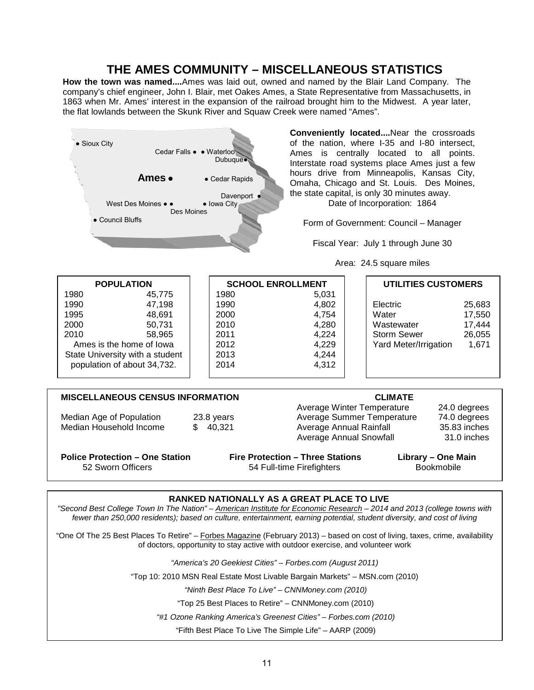#### **THE AMES COMMUNITY – MISCELLANEOUS STATISTICS**

**How the town was named....**Ames was laid out, owned and named by the Blair Land Company. The company's chief engineer, John I. Blair, met Oakes Ames, a State Representative from Massachusetts, in 1863 when Mr. Ames' interest in the expansion of the railroad brought him to the Midwest. A year later, the flat lowlands between the Skunk River and Squaw Creek were named "Ames".



*"#1 Ozone Ranking America's Greenest Cities" – Forbes.com (2010)*

"Fifth Best Place To Live The Simple Life" – AARP (2009)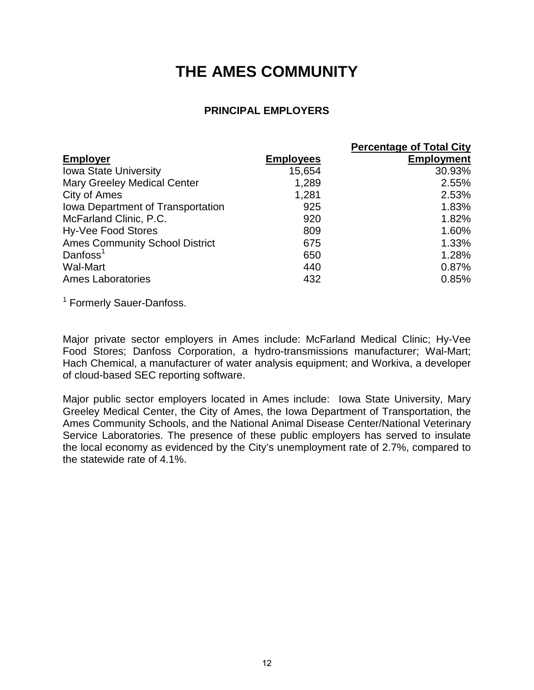### **THE AMES COMMUNITY**

#### **PRINCIPAL EMPLOYERS**

|                                       |                  | <b>Percentage of Total City</b> |
|---------------------------------------|------------------|---------------------------------|
| <b>Employer</b>                       | <b>Employees</b> | <b>Employment</b>               |
| <b>Iowa State University</b>          | 15,654           | 30.93%                          |
| <b>Mary Greeley Medical Center</b>    | 1,289            | 2.55%                           |
| City of Ames                          | 1,281            | 2.53%                           |
| Iowa Department of Transportation     | 925              | 1.83%                           |
| McFarland Clinic, P.C.                | 920              | 1.82%                           |
| Hy-Vee Food Stores                    | 809              | 1.60%                           |
| <b>Ames Community School District</b> | 675              | 1.33%                           |
| Danfoss $1$                           | 650              | 1.28%                           |
| <b>Wal-Mart</b>                       | 440              | 0.87%                           |
| <b>Ames Laboratories</b>              | 432              | 0.85%                           |

<sup>1</sup> Formerly Sauer-Danfoss.

Major private sector employers in Ames include: McFarland Medical Clinic; Hy-Vee Food Stores; Danfoss Corporation, a hydro-transmissions manufacturer; Wal-Mart; Hach Chemical, a manufacturer of water analysis equipment; and Workiva, a developer of cloud-based SEC reporting software.

Major public sector employers located in Ames include: Iowa State University, Mary Greeley Medical Center, the City of Ames, the Iowa Department of Transportation, the Ames Community Schools, and the National Animal Disease Center/National Veterinary Service Laboratories. The presence of these public employers has served to insulate the local economy as evidenced by the City's unemployment rate of 2.7%, compared to the statewide rate of 4.1%.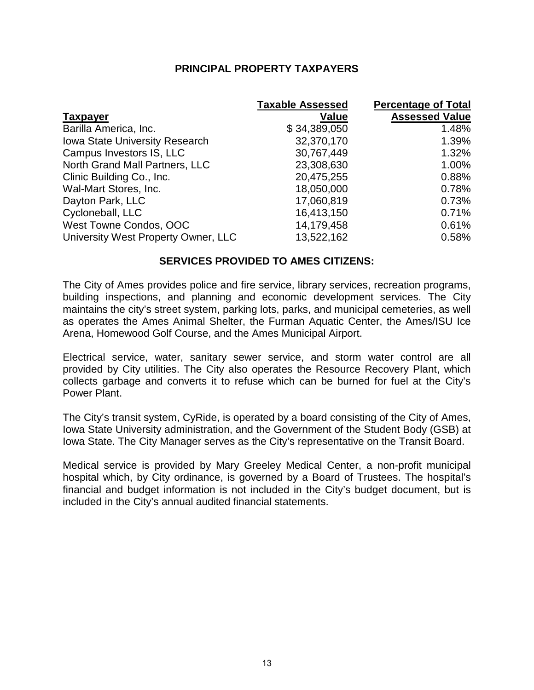#### **PRINCIPAL PROPERTY TAXPAYERS**

|                                       | <b>Taxable Assessed</b> | <b>Percentage of Total</b> |
|---------------------------------------|-------------------------|----------------------------|
| <b>Taxpayer</b>                       | Value                   | <b>Assessed Value</b>      |
| Barilla America, Inc.                 | \$34,389,050            | 1.48%                      |
| <b>Iowa State University Research</b> | 32,370,170              | 1.39%                      |
| Campus Investors IS, LLC              | 30,767,449              | 1.32%                      |
| North Grand Mall Partners, LLC        | 23,308,630              | 1.00%                      |
| Clinic Building Co., Inc.             | 20,475,255              | 0.88%                      |
| Wal-Mart Stores, Inc.                 | 18,050,000              | 0.78%                      |
| Dayton Park, LLC                      | 17,060,819              | 0.73%                      |
| Cycloneball, LLC                      | 16,413,150              | 0.71%                      |
| West Towne Condos, OOC                | 14,179,458              | 0.61%                      |
| University West Property Owner, LLC   | 13,522,162              | 0.58%                      |

#### **SERVICES PROVIDED TO AMES CITIZENS:**

The City of Ames provides police and fire service, library services, recreation programs, building inspections, and planning and economic development services. The City maintains the city's street system, parking lots, parks, and municipal cemeteries, as well as operates the Ames Animal Shelter, the Furman Aquatic Center, the Ames/ISU Ice Arena, Homewood Golf Course, and the Ames Municipal Airport.

Electrical service, water, sanitary sewer service, and storm water control are all provided by City utilities. The City also operates the Resource Recovery Plant, which collects garbage and converts it to refuse which can be burned for fuel at the City's Power Plant.

The City's transit system, CyRide, is operated by a board consisting of the City of Ames, Iowa State University administration, and the Government of the Student Body (GSB) at Iowa State. The City Manager serves as the City's representative on the Transit Board.

Medical service is provided by Mary Greeley Medical Center, a non-profit municipal hospital which, by City ordinance, is governed by a Board of Trustees. The hospital's financial and budget information is not included in the City's budget document, but is included in the City's annual audited financial statements.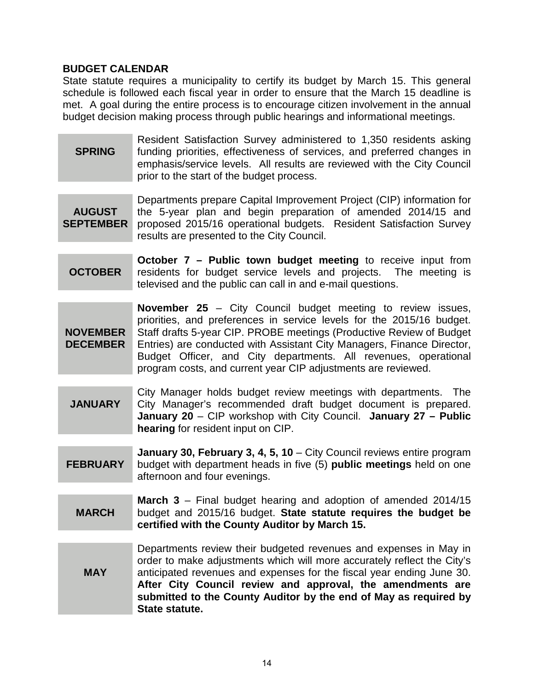#### **BUDGET CALENDAR**

State statute requires a municipality to certify its budget by March 15. This general schedule is followed each fiscal year in order to ensure that the March 15 deadline is met. A goal during the entire process is to encourage citizen involvement in the annual budget decision making process through public hearings and informational meetings.

**SPRING** Resident Satisfaction Survey administered to 1,350 residents asking funding priorities, effectiveness of services, and preferred changes in emphasis/service levels. All results are reviewed with the City Council prior to the start of the budget process.

**AUGUST SEPTEMBER** Departments prepare Capital Improvement Project (CIP) information for the 5-year plan and begin preparation of amended 2014/15 and proposed 2015/16 operational budgets. Resident Satisfaction Survey results are presented to the City Council.

**OCTOBER October 7 – Public town budget meeting** to receive input from residents for budget service levels and projects. The meeting is televised and the public can call in and e-mail questions.

**NOVEMBER DECEMBER November 25** – City Council budget meeting to review issues, priorities, and preferences in service levels for the 2015/16 budget. Staff drafts 5-year CIP. PROBE meetings (Productive Review of Budget Entries) are conducted with Assistant City Managers, Finance Director, Budget Officer, and City departments. All revenues, operational program costs, and current year CIP adjustments are reviewed.

- **JANUARY** City Manager holds budget review meetings with departments. The City Manager's recommended draft budget document is prepared. **January 20** – CIP workshop with City Council. **January 27 – Public hearing** for resident input on CIP.
- **FEBRUARY January 30, February 3, 4, 5, 10** – City Council reviews entire program budget with department heads in five (5) **public meetings** held on one afternoon and four evenings.
- **MARCH March 3** – Final budget hearing and adoption of amended 2014/15 budget and 2015/16 budget. **State statute requires the budget be certified with the County Auditor by March 15.**

**MAY** Departments review their budgeted revenues and expenses in May in order to make adjustments which will more accurately reflect the City's anticipated revenues and expenses for the fiscal year ending June 30. **After City Council review and approval, the amendments are submitted to the County Auditor by the end of May as required by State statute.**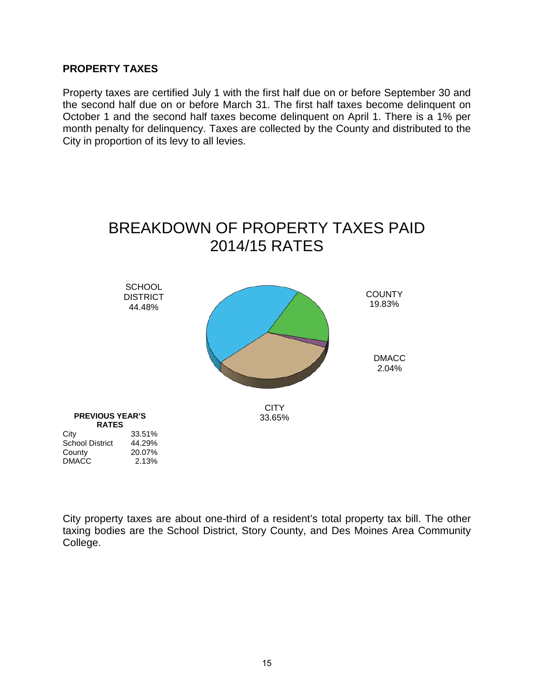#### **PROPERTY TAXES**

Property taxes are certified July 1 with the first half due on or before September 30 and the second half due on or before March 31. The first half taxes become delinquent on October 1 and the second half taxes become delinquent on April 1. There is a 1% per month penalty for delinquency. Taxes are collected by the County and distributed to the City in proportion of its levy to all levies.



City property taxes are about one-third of a resident's total property tax bill. The other taxing bodies are the School District, Story County, and Des Moines Area Community College.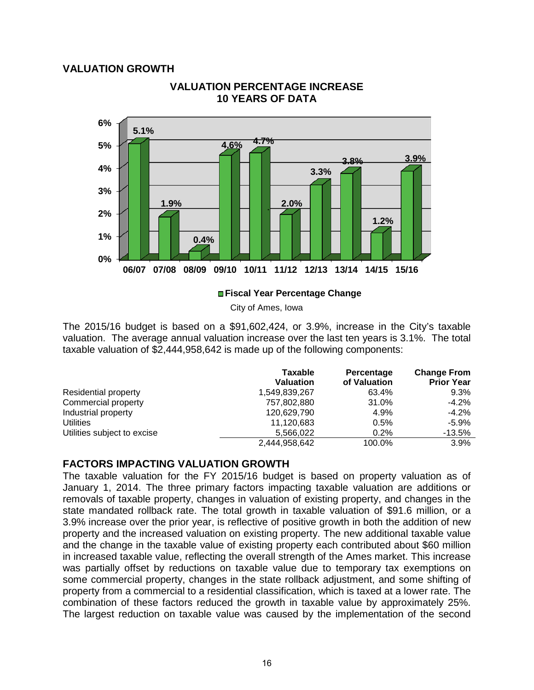#### **VALUATION GROWTH**



#### **VALUATION PERCENTAGE INCREASE 10 YEARS OF DATA**

#### **Fiscal Year Percentage Change**

City of Ames, Iowa

The 2015/16 budget is based on a \$91,602,424, or 3.9%, increase in the City's taxable valuation. The average annual valuation increase over the last ten years is 3.1%. The total taxable valuation of \$2,444,958,642 is made up of the following components:

|                             | <b>Taxable</b><br><b>Valuation</b> | Percentage<br>of Valuation | <b>Change From</b><br><b>Prior Year</b> |
|-----------------------------|------------------------------------|----------------------------|-----------------------------------------|
| Residential property        | 1,549,839,267                      | 63.4%                      | 9.3%                                    |
| Commercial property         | 757,802,880                        | 31.0%                      | $-4.2\%$                                |
| Industrial property         | 120,629,790                        | 4.9%                       | $-4.2\%$                                |
| <b>Utilities</b>            | 11,120,683                         | 0.5%                       | $-5.9\%$                                |
| Utilities subject to excise | 5,566,022                          | 0.2%                       | $-13.5%$                                |
|                             | 2,444,958,642                      | 100.0%                     | $3.9\%$                                 |

#### **FACTORS IMPACTING VALUATION GROWTH**

The taxable valuation for the FY 2015/16 budget is based on property valuation as of January 1, 2014. The three primary factors impacting taxable valuation are additions or removals of taxable property, changes in valuation of existing property, and changes in the state mandated rollback rate. The total growth in taxable valuation of \$91.6 million, or a 3.9% increase over the prior year, is reflective of positive growth in both the addition of new property and the increased valuation on existing property. The new additional taxable value and the change in the taxable value of existing property each contributed about \$60 million in increased taxable value, reflecting the overall strength of the Ames market. This increase was partially offset by reductions on taxable value due to temporary tax exemptions on some commercial property, changes in the state rollback adjustment, and some shifting of property from a commercial to a residential classification, which is taxed at a lower rate. The combination of these factors reduced the growth in taxable value by approximately 25%. The largest reduction on taxable value was caused by the implementation of the second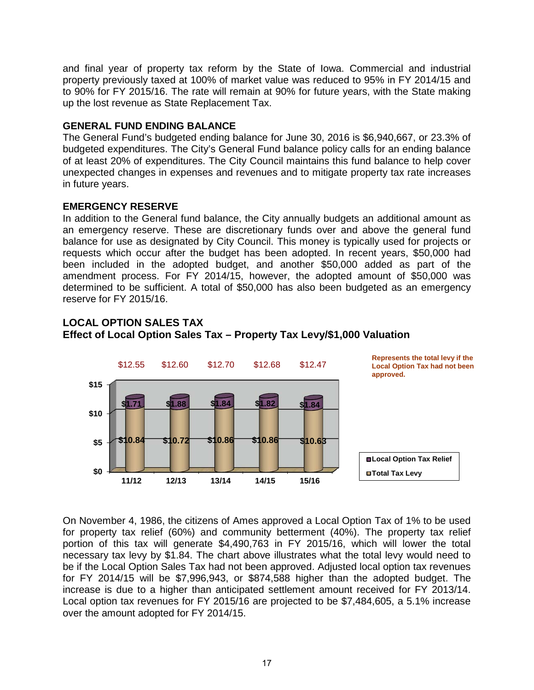and final year of property tax reform by the State of Iowa. Commercial and industrial property previously taxed at 100% of market value was reduced to 95% in FY 2014/15 and to 90% for FY 2015/16. The rate will remain at 90% for future years, with the State making up the lost revenue as State Replacement Tax.

#### **GENERAL FUND ENDING BALANCE**

The General Fund's budgeted ending balance for June 30, 2016 is \$6,940,667, or 23.3% of budgeted expenditures. The City's General Fund balance policy calls for an ending balance of at least 20% of expenditures. The City Council maintains this fund balance to help cover unexpected changes in expenses and revenues and to mitigate property tax rate increases in future years.

#### **EMERGENCY RESERVE**

In addition to the General fund balance, the City annually budgets an additional amount as an emergency reserve. These are discretionary funds over and above the general fund balance for use as designated by City Council. This money is typically used for projects or requests which occur after the budget has been adopted. In recent years, \$50,000 had been included in the adopted budget, and another \$50,000 added as part of the amendment process. For FY 2014/15, however, the adopted amount of \$50,000 was determined to be sufficient. A total of \$50,000 has also been budgeted as an emergency reserve for FY 2015/16.

#### **LOCAL OPTION SALES TAX Effect of Local Option Sales Tax – Property Tax Levy/\$1,000 Valuation**



On November 4, 1986, the citizens of Ames approved a Local Option Tax of 1% to be used for property tax relief (60%) and community betterment (40%). The property tax relief portion of this tax will generate \$4,490,763 in FY 2015/16, which will lower the total necessary tax levy by \$1.84. The chart above illustrates what the total levy would need to be if the Local Option Sales Tax had not been approved. Adjusted local option tax revenues for FY 2014/15 will be \$7,996,943, or \$874,588 higher than the adopted budget. The increase is due to a higher than anticipated settlement amount received for FY 2013/14. Local option tax revenues for FY 2015/16 are projected to be \$7,484,605, a 5.1% increase over the amount adopted for FY 2014/15.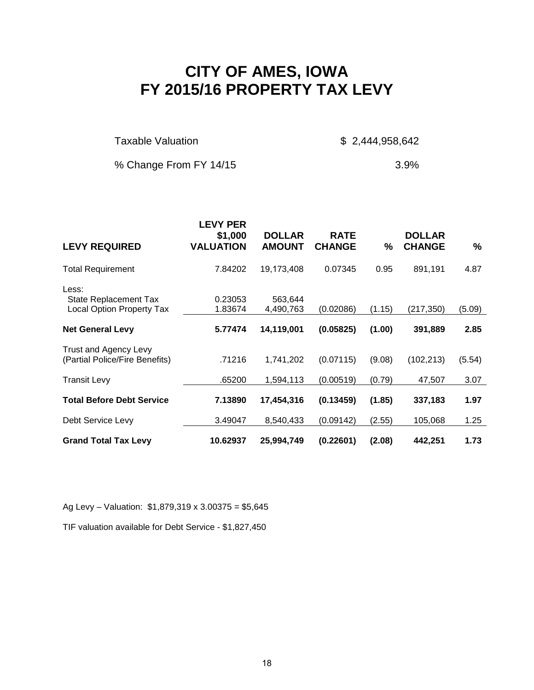### **CITY OF AMES, IOWA FY 2015/16 PROPERTY TAX LEVY**

Taxable Valuation  $$ 2,444,958,642$ 

% Change From FY 14/15 3.9%

| <b>LEVY REQUIRED</b>                                                      | <b>LEVY PER</b><br>\$1,000<br><b>VALUATION</b> | <b>DOLLAR</b><br><b>AMOUNT</b> | <b>RATE</b><br><b>CHANGE</b> | %      | <b>DOLLAR</b><br><b>CHANGE</b> | %      |
|---------------------------------------------------------------------------|------------------------------------------------|--------------------------------|------------------------------|--------|--------------------------------|--------|
| <b>Total Requirement</b>                                                  | 7.84202                                        | 19,173,408                     | 0.07345                      | 0.95   | 891,191                        | 4.87   |
| Less:<br><b>State Replacement Tax</b><br><b>Local Option Property Tax</b> | 0.23053<br>1.83674                             | 563,644<br>4,490,763           | (0.02086)                    | (1.15) | (217, 350)                     | (5.09) |
| <b>Net General Levy</b>                                                   | 5.77474                                        | 14,119,001                     | (0.05825)                    | (1.00) | 391,889                        | 2.85   |
| Trust and Agency Levy<br>(Partial Police/Fire Benefits)                   | .71216                                         | 1,741,202                      | (0.07115)                    | (9.08) | (102, 213)                     | (5.54) |
| <b>Transit Levy</b>                                                       | .65200                                         | 1,594,113                      | (0.00519)                    | (0.79) | 47,507                         | 3.07   |
| <b>Total Before Debt Service</b>                                          | 7.13890                                        | 17,454,316                     | (0.13459)                    | (1.85) | 337,183                        | 1.97   |
| Debt Service Levy                                                         | 3.49047                                        | 8,540,433                      | (0.09142)                    | (2.55) | 105,068                        | 1.25   |
| <b>Grand Total Tax Levy</b>                                               | 10.62937                                       | 25,994,749                     | (0.22601)                    | (2.08) | 442,251                        | 1.73   |

Ag Levy – Valuation: \$1,879,319 x 3.00375 = \$5,645

TIF valuation available for Debt Service - \$1,827,450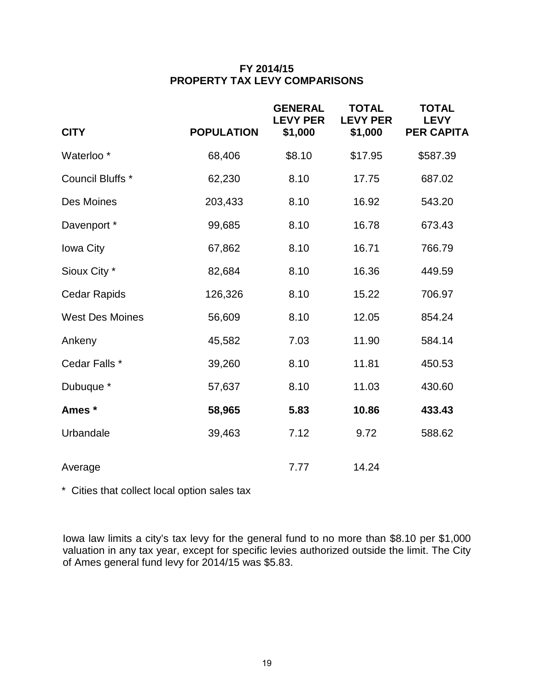#### **FY 2014/15 PROPERTY TAX LEVY COMPARISONS**

| <b>CITY</b>            | <b>POPULATION</b> | <b>GENERAL</b><br><b>LEVY PER</b><br>\$1,000 | <b>TOTAL</b><br><b>LEVY PER</b><br>\$1,000 | <b>TOTAL</b><br><b>LEVY</b><br><b>PER CAPITA</b> |
|------------------------|-------------------|----------------------------------------------|--------------------------------------------|--------------------------------------------------|
| Waterloo <sup>*</sup>  | 68,406            | \$8.10                                       | \$17.95                                    | \$587.39                                         |
| Council Bluffs *       | 62,230            | 8.10                                         | 17.75                                      | 687.02                                           |
| Des Moines             | 203,433           | 8.10                                         | 16.92                                      | 543.20                                           |
| Davenport *            | 99,685            | 8.10                                         | 16.78                                      | 673.43                                           |
| Iowa City              | 67,862            | 8.10                                         | 16.71                                      | 766.79                                           |
| Sioux City *           | 82,684            | 8.10                                         | 16.36                                      | 449.59                                           |
| <b>Cedar Rapids</b>    | 126,326           | 8.10                                         | 15.22                                      | 706.97                                           |
| <b>West Des Moines</b> | 56,609            | 8.10                                         | 12.05                                      | 854.24                                           |
| Ankeny                 | 45,582            | 7.03                                         | 11.90                                      | 584.14                                           |
| Cedar Falls *          | 39,260            | 8.10                                         | 11.81                                      | 450.53                                           |
| Dubuque *              | 57,637            | 8.10                                         | 11.03                                      | 430.60                                           |
| Ames *                 | 58,965            | 5.83                                         | 10.86                                      | 433.43                                           |
| Urbandale              | 39,463            | 7.12                                         | 9.72                                       | 588.62                                           |
| Average                |                   | 7.77                                         | 14.24                                      |                                                  |

\* Cities that collect local option sales tax

Iowa law limits a city's tax levy for the general fund to no more than \$8.10 per \$1,000 valuation in any tax year, except for specific levies authorized outside the limit. The City of Ames general fund levy for 2014/15 was \$5.83.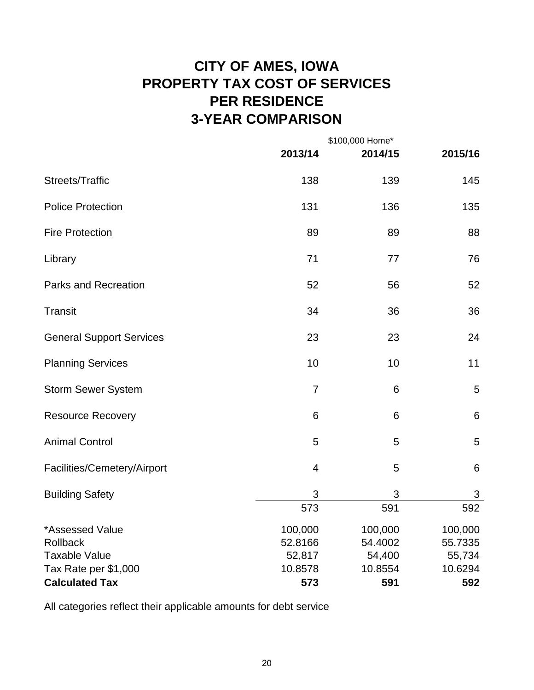### **CITY OF AMES, IOWA PROPERTY TAX COST OF SERVICES PER RESIDENCE 3-YEAR COMPARISON**

|                                 |                         | \$100,000 Home* |         |  |  |
|---------------------------------|-------------------------|-----------------|---------|--|--|
|                                 | 2013/14                 | 2014/15         | 2015/16 |  |  |
| Streets/Traffic                 | 138                     | 139             | 145     |  |  |
| <b>Police Protection</b>        | 131                     | 136             | 135     |  |  |
| <b>Fire Protection</b>          | 89                      | 89              | 88      |  |  |
| Library                         | 71                      | 77              | 76      |  |  |
| <b>Parks and Recreation</b>     | 52                      | 56              | 52      |  |  |
| Transit                         | 34                      | 36              | 36      |  |  |
| <b>General Support Services</b> | 23                      | 23              | 24      |  |  |
| <b>Planning Services</b>        | 10                      | 10              | 11      |  |  |
| <b>Storm Sewer System</b>       | $\overline{7}$          | 6               | 5       |  |  |
| <b>Resource Recovery</b>        | 6                       | 6               | 6       |  |  |
| <b>Animal Control</b>           | 5                       | 5               | 5       |  |  |
| Facilities/Cemetery/Airport     | $\overline{\mathbf{4}}$ | 5               | 6       |  |  |
| <b>Building Safety</b>          | 3                       | 3               | 3       |  |  |
|                                 | 573                     | 591             | 592     |  |  |
| *Assessed Value                 | 100,000                 | 100,000         | 100,000 |  |  |
| Rollback                        | 52.8166                 | 54.4002         | 55.7335 |  |  |
| <b>Taxable Value</b>            | 52,817                  | 54,400          | 55,734  |  |  |
| Tax Rate per \$1,000            | 10.8578                 | 10.8554         | 10.6294 |  |  |
| <b>Calculated Tax</b>           | 573                     | 591             | 592     |  |  |

All categories reflect their applicable amounts for debt service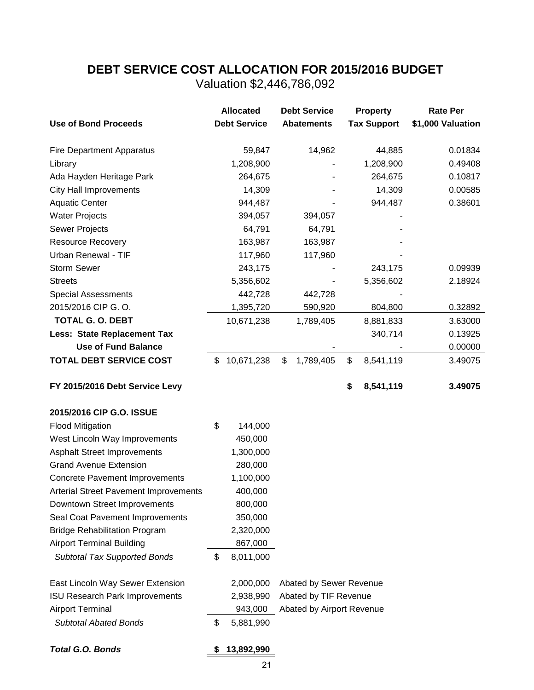### **DEBT SERVICE COST ALLOCATION FOR 2015/2016 BUDGET**

Valuation \$2,446,786,092

|                                              | <b>Allocated</b>    | <b>Debt Service</b>       | <b>Property</b>    | <b>Rate Per</b>   |
|----------------------------------------------|---------------------|---------------------------|--------------------|-------------------|
| <b>Use of Bond Proceeds</b>                  | <b>Debt Service</b> | <b>Abatements</b>         | <b>Tax Support</b> | \$1,000 Valuation |
|                                              |                     |                           |                    |                   |
| <b>Fire Department Apparatus</b>             | 59,847              | 14,962                    | 44,885             | 0.01834           |
| Library                                      | 1,208,900           |                           | 1,208,900          | 0.49408           |
| Ada Hayden Heritage Park                     | 264,675             |                           | 264,675            | 0.10817           |
| <b>City Hall Improvements</b>                | 14,309              |                           | 14,309             | 0.00585           |
| <b>Aquatic Center</b>                        | 944,487             |                           | 944,487            | 0.38601           |
| <b>Water Projects</b>                        | 394,057             | 394,057                   |                    |                   |
| Sewer Projects                               | 64,791              | 64,791                    |                    |                   |
| <b>Resource Recovery</b>                     | 163,987             | 163,987                   |                    |                   |
| Urban Renewal - TIF                          | 117,960             | 117,960                   |                    |                   |
| <b>Storm Sewer</b>                           | 243,175             |                           | 243,175            | 0.09939           |
| <b>Streets</b>                               | 5,356,602           |                           | 5,356,602          | 2.18924           |
| <b>Special Assessments</b>                   | 442,728             | 442,728                   |                    |                   |
| 2015/2016 CIP G. O.                          | 1,395,720           | 590,920                   | 804,800            | 0.32892           |
| <b>TOTAL G. O. DEBT</b>                      | 10,671,238          | 1,789,405                 | 8,881,833          | 3.63000           |
| <b>Less: State Replacement Tax</b>           |                     |                           | 340,714            | 0.13925           |
| <b>Use of Fund Balance</b>                   |                     |                           |                    | 0.00000           |
| <b>TOTAL DEBT SERVICE COST</b>               | \$<br>10,671,238    | \$<br>1,789,405           | \$<br>8,541,119    | 3.49075           |
|                                              |                     |                           |                    |                   |
| FY 2015/2016 Debt Service Levy               |                     |                           | \$<br>8,541,119    | 3.49075           |
|                                              |                     |                           |                    |                   |
| 2015/2016 CIP G.O. ISSUE                     |                     |                           |                    |                   |
| <b>Flood Mitigation</b>                      | \$<br>144,000       |                           |                    |                   |
| West Lincoln Way Improvements                | 450,000             |                           |                    |                   |
| <b>Asphalt Street Improvements</b>           | 1,300,000           |                           |                    |                   |
| <b>Grand Avenue Extension</b>                | 280,000             |                           |                    |                   |
| <b>Concrete Pavement Improvements</b>        | 1,100,000           |                           |                    |                   |
| <b>Arterial Street Pavement Improvements</b> | 400,000             |                           |                    |                   |
| Downtown Street Improvements                 | 800,000             |                           |                    |                   |
| Seal Coat Pavement Improvements              | 350,000             |                           |                    |                   |
| <b>Bridge Rehabilitation Program</b>         | 2,320,000           |                           |                    |                   |
| <b>Airport Terminal Building</b>             | 867,000             |                           |                    |                   |
| <b>Subtotal Tax Supported Bonds</b>          | \$<br>8,011,000     |                           |                    |                   |
|                                              |                     |                           |                    |                   |
| East Lincoln Way Sewer Extension             | 2,000,000           | Abated by Sewer Revenue   |                    |                   |
| <b>ISU Research Park Improvements</b>        | 2,938,990           | Abated by TIF Revenue     |                    |                   |
| <b>Airport Terminal</b>                      | 943,000             | Abated by Airport Revenue |                    |                   |
| <b>Subtotal Abated Bonds</b>                 | \$<br>5,881,990     |                           |                    |                   |
|                                              |                     |                           |                    |                   |
| <b>Total G.O. Bonds</b>                      | \$<br>13,892,990    |                           |                    |                   |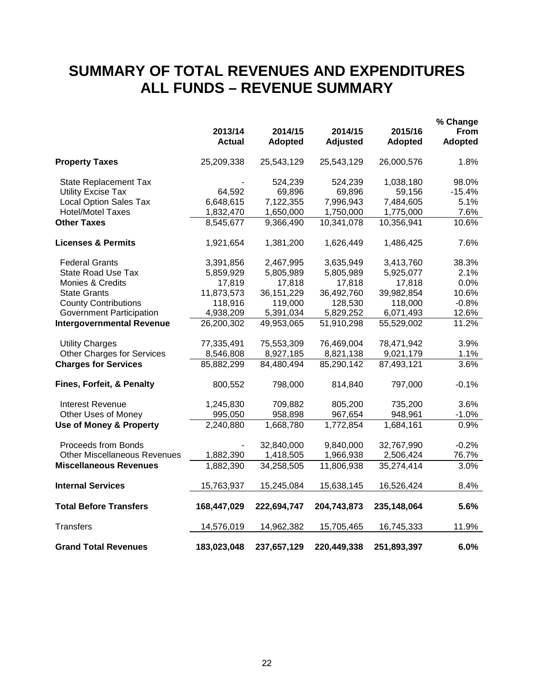### **SUMMARY OF TOTAL REVENUES AND EXPENDITURES ALL FUNDS – REVENUE SUMMARY**

|                                     |               |              |                 |                | % Change |
|-------------------------------------|---------------|--------------|-----------------|----------------|----------|
|                                     | 2013/14       | 2014/15      | 2014/15         | 2015/16        | From     |
|                                     | <b>Actual</b> | Adopted      | <b>Adjusted</b> | <b>Adopted</b> | Adopted  |
| <b>Property Taxes</b>               | 25,209,338    | 25,543,129   | 25,543,129      | 26,000,576     | 1.8%     |
| <b>State Replacement Tax</b>        |               | 524,239      | 524,239         | 1,038,180      | 98.0%    |
| <b>Utility Excise Tax</b>           | 64,592        | 69,896       | 69,896          | 59,156         | $-15.4%$ |
| <b>Local Option Sales Tax</b>       | 6,648,615     | 7,122,355    | 7,996,943       | 7,484,605      | 5.1%     |
| <b>Hotel/Motel Taxes</b>            | 1,832,470     | 1,650,000    | 1,750,000       | 1,775,000      | 7.6%     |
| <b>Other Taxes</b>                  | 8,545,677     | 9,366,490    | 10,341,078      | 10,356,941     | 10.6%    |
| <b>Licenses &amp; Permits</b>       | 1,921,654     | 1,381,200    | 1,626,449       | 1,486,425      | 7.6%     |
| <b>Federal Grants</b>               | 3,391,856     | 2,467,995    | 3,635,949       | 3,413,760      | 38.3%    |
| <b>State Road Use Tax</b>           | 5,859,929     | 5,805,989    | 5,805,989       | 5,925,077      | 2.1%     |
| Monies & Credits                    | 17,819        | 17,818       | 17,818          | 17,818         | 0.0%     |
| <b>State Grants</b>                 | 11,873,573    | 36, 151, 229 | 36,492,760      | 39,982,854     | 10.6%    |
| <b>County Contributions</b>         | 118,916       | 119,000      | 128,530         | 118,000        | $-0.8%$  |
| <b>Government Participation</b>     | 4,938,209     | 5,391,034    | 5,829,252       | 6,071,493      | 12.6%    |
| <b>Intergovernmental Revenue</b>    | 26,200,302    | 49,953,065   | 51,910,298      | 55,529,002     | 11.2%    |
| <b>Utility Charges</b>              | 77,335,491    | 75,553,309   | 76,469,004      | 78,471,942     | 3.9%     |
| <b>Other Charges for Services</b>   | 8,546,808     | 8,927,185    | 8,821,138       | 9,021,179      | 1.1%     |
| <b>Charges for Services</b>         | 85,882,299    | 84,480,494   | 85,290,142      | 87,493,121     | 3.6%     |
| Fines, Forfeit, & Penalty           | 800,552       | 798,000      | 814,840         | 797,000        | $-0.1%$  |
| <b>Interest Revenue</b>             | 1,245,830     | 709,882      | 805,200         | 735,200        | 3.6%     |
| Other Uses of Money                 | 995,050       | 958,898      | 967,654         | 948,961        | $-1.0%$  |
| <b>Use of Money &amp; Property</b>  | 2,240,880     | 1,668,780    | 1,772,854       | 1,684,161      | 0.9%     |
| Proceeds from Bonds                 |               | 32,840,000   | 9,840,000       | 32,767,990     | $-0.2%$  |
| <b>Other Miscellaneous Revenues</b> | 1,882,390     | 1,418,505    | 1,966,938       | 2,506,424      | 76.7%    |
| <b>Miscellaneous Revenues</b>       | 1,882,390     | 34,258,505   | 11,806,938      | 35,274,414     | 3.0%     |
| <b>Internal Services</b>            | 15,763,937    | 15,245,084   | 15,638,145      | 16,526,424     | 8.4%     |
| <b>Total Before Transfers</b>       | 168,447,029   | 222,694,747  | 204,743,873     | 235,148,064    | 5.6%     |
| <b>Transfers</b>                    | 14,576,019    | 14,962,382   | 15,705,465      | 16,745,333     | 11.9%    |
| <b>Grand Total Revenues</b>         | 183,023,048   | 237,657,129  | 220,449,338     | 251,893,397    | 6.0%     |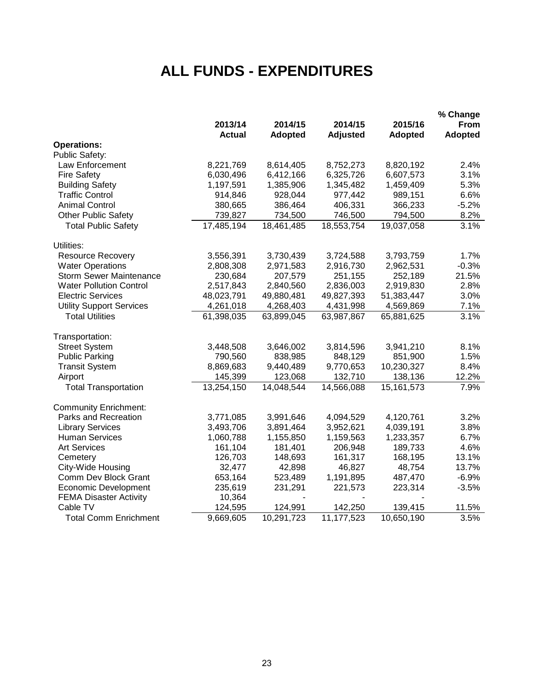### **ALL FUNDS - EXPENDITURES**

|                                 |               |                |                 |                | % Change       |
|---------------------------------|---------------|----------------|-----------------|----------------|----------------|
|                                 | 2013/14       | 2014/15        | 2014/15         | 2015/16        | <b>From</b>    |
|                                 | <b>Actual</b> | <b>Adopted</b> | <b>Adjusted</b> | <b>Adopted</b> | <b>Adopted</b> |
| <b>Operations:</b>              |               |                |                 |                |                |
| <b>Public Safety:</b>           |               |                |                 |                |                |
| Law Enforcement                 | 8,221,769     | 8,614,405      | 8,752,273       | 8,820,192      | 2.4%           |
| <b>Fire Safety</b>              | 6,030,496     | 6,412,166      | 6,325,726       | 6,607,573      | 3.1%           |
| <b>Building Safety</b>          | 1,197,591     | 1,385,906      | 1,345,482       | 1,459,409      | 5.3%           |
| <b>Traffic Control</b>          | 914,846       | 928,044        | 977,442         | 989,151        | 6.6%           |
| <b>Animal Control</b>           | 380,665       | 386,464        | 406,331         | 366,233        | $-5.2%$        |
| <b>Other Public Safety</b>      | 739,827       | 734,500        | 746,500         | 794,500        | 8.2%           |
| <b>Total Public Safety</b>      | 17,485,194    | 18,461,485     | 18,553,754      | 19,037,058     | 3.1%           |
| Utilities:                      |               |                |                 |                |                |
| <b>Resource Recovery</b>        | 3,556,391     | 3,730,439      | 3,724,588       | 3,793,759      | 1.7%           |
| <b>Water Operations</b>         | 2,808,308     | 2,971,583      | 2,916,730       | 2,962,531      | $-0.3%$        |
| <b>Storm Sewer Maintenance</b>  | 230,684       | 207,579        | 251,155         | 252,189        | 21.5%          |
| <b>Water Pollution Control</b>  | 2,517,843     | 2,840,560      | 2,836,003       | 2,919,830      | 2.8%           |
| <b>Electric Services</b>        | 48,023,791    | 49,880,481     | 49,827,393      | 51,383,447     | 3.0%           |
| <b>Utility Support Services</b> | 4,261,018     | 4,268,403      | 4,431,998       | 4,569,869      | 7.1%           |
| <b>Total Utilities</b>          | 61,398,035    | 63,899,045     | 63,987,867      | 65,881,625     | 3.1%           |
| Transportation:                 |               |                |                 |                |                |
| <b>Street System</b>            | 3,448,508     | 3,646,002      | 3,814,596       | 3,941,210      | 8.1%           |
| <b>Public Parking</b>           | 790,560       | 838,985        | 848,129         | 851,900        | 1.5%           |
| <b>Transit System</b>           | 8,869,683     | 9,440,489      | 9,770,653       | 10,230,327     | 8.4%           |
| Airport                         | 145,399       | 123,068        | 132,710         | 138,136        | 12.2%          |
| <b>Total Transportation</b>     | 13,254,150    | 14,048,544     | 14,566,088      | 15, 161, 573   | 7.9%           |
| <b>Community Enrichment:</b>    |               |                |                 |                |                |
| Parks and Recreation            | 3,771,085     | 3,991,646      | 4,094,529       | 4,120,761      | 3.2%           |
| <b>Library Services</b>         | 3,493,706     | 3,891,464      | 3,952,621       | 4,039,191      | 3.8%           |
| <b>Human Services</b>           | 1,060,788     | 1,155,850      | 1,159,563       | 1,233,357      | 6.7%           |
| <b>Art Services</b>             | 161,104       | 181,401        | 206,948         | 189,733        | 4.6%           |
| Cemetery                        | 126,703       | 148,693        | 161,317         | 168,195        | 13.1%          |
| City-Wide Housing               | 32,477        | 42,898         | 46,827          | 48,754         | 13.7%          |
| Comm Dev Block Grant            | 653,164       | 523,489        | 1,191,895       | 487,470        | $-6.9%$        |
| <b>Economic Development</b>     | 235,619       | 231,291        | 221,573         | 223,314        | $-3.5%$        |
| <b>FEMA Disaster Activity</b>   | 10,364        |                |                 |                |                |
| Cable TV                        | 124,595       | 124,991        | 142,250         | 139,415        | 11.5%          |
| <b>Total Comm Enrichment</b>    | 9,669,605     | 10,291,723     | 11,177,523      | 10,650,190     | 3.5%           |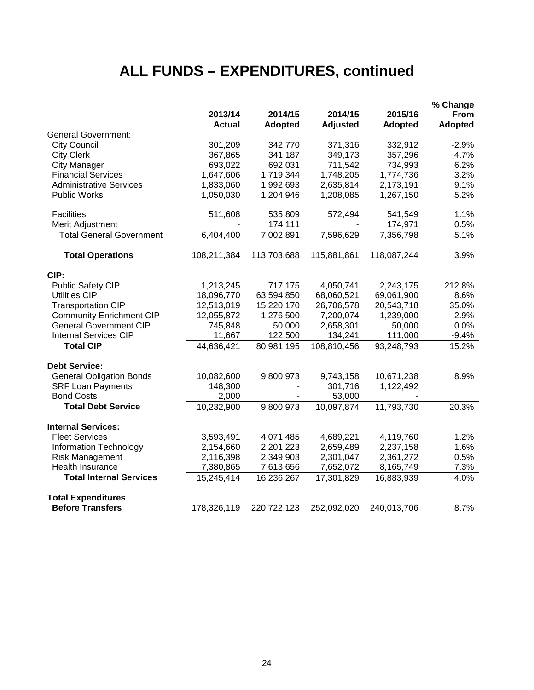### **ALL FUNDS – EXPENDITURES, continued**

|                                 |                          |                           |                     |                           | % Change               |
|---------------------------------|--------------------------|---------------------------|---------------------|---------------------------|------------------------|
|                                 | 2013/14<br><b>Actual</b> | 2014/15<br><b>Adopted</b> | 2014/15<br>Adjusted | 2015/16<br><b>Adopted</b> | From<br><b>Adopted</b> |
| <b>General Government:</b>      |                          |                           |                     |                           |                        |
| <b>City Council</b>             | 301,209                  | 342,770                   | 371,316             | 332,912                   | $-2.9%$                |
| <b>City Clerk</b>               | 367,865                  | 341,187                   | 349,173             | 357,296                   | 4.7%                   |
| <b>City Manager</b>             | 693,022                  | 692,031                   | 711,542             | 734,993                   | 6.2%                   |
| <b>Financial Services</b>       | 1,647,606                | 1,719,344                 | 1,748,205           | 1,774,736                 | 3.2%                   |
| <b>Administrative Services</b>  | 1,833,060                | 1,992,693                 | 2,635,814           | 2,173,191                 | 9.1%                   |
| <b>Public Works</b>             | 1,050,030                | 1,204,946                 | 1,208,085           | 1,267,150                 | 5.2%                   |
| <b>Facilities</b>               | 511,608                  | 535,809                   | 572,494             | 541,549                   | 1.1%                   |
| Merit Adjustment                |                          | 174,111                   |                     | 174,971                   | 0.5%                   |
| <b>Total General Government</b> | 6,404,400                | 7,002,891                 | 7,596,629           | 7,356,798                 | 5.1%                   |
| <b>Total Operations</b>         | 108,211,384              | 113,703,688               | 115,881,861         | 118,087,244               | 3.9%                   |
| CIP:                            |                          |                           |                     |                           |                        |
| <b>Public Safety CIP</b>        | 1,213,245                | 717,175                   | 4,050,741           | 2,243,175                 | 212.8%                 |
| <b>Utilities CIP</b>            | 18,096,770               | 63,594,850                | 68,060,521          | 69,061,900                | 8.6%                   |
| <b>Transportation CIP</b>       | 12,513,019               | 15,220,170                | 26,706,578          | 20,543,718                | 35.0%                  |
| <b>Community Enrichment CIP</b> | 12,055,872               | 1,276,500                 | 7,200,074           | 1,239,000                 | $-2.9%$                |
| <b>General Government CIP</b>   | 745,848                  | 50,000                    | 2,658,301           | 50,000                    | 0.0%                   |
| <b>Internal Services CIP</b>    | 11,667                   | 122,500                   | 134,241             | 111,000                   | $-9.4%$                |
| <b>Total CIP</b>                | 44,636,421               | 80,981,195                | 108,810,456         | 93,248,793                | 15.2%                  |
| <b>Debt Service:</b>            |                          |                           |                     |                           |                        |
| <b>General Obligation Bonds</b> | 10,082,600               | 9,800,973                 | 9,743,158           | 10,671,238                | 8.9%                   |
| <b>SRF Loan Payments</b>        | 148,300                  |                           | 301,716             | 1,122,492                 |                        |
| <b>Bond Costs</b>               | 2,000                    |                           | 53,000              |                           |                        |
| <b>Total Debt Service</b>       | 10,232,900               | 9,800,973                 | 10,097,874          | 11,793,730                | 20.3%                  |
| <b>Internal Services:</b>       |                          |                           |                     |                           |                        |
| <b>Fleet Services</b>           | 3,593,491                | 4,071,485                 | 4,689,221           | 4,119,760                 | 1.2%                   |
| <b>Information Technology</b>   | 2,154,660                | 2,201,223                 | 2,659,489           | 2,237,158                 | 1.6%                   |
| <b>Risk Management</b>          | 2,116,398                | 2,349,903                 | 2,301,047           | 2,361,272                 | 0.5%                   |
| Health Insurance                | 7,380,865                | 7,613,656                 | 7,652,072           | 8,165,749                 | 7.3%                   |
| <b>Total Internal Services</b>  | 15,245,414               | 16,236,267                | 17,301,829          | 16,883,939                | 4.0%                   |
| <b>Total Expenditures</b>       |                          |                           |                     |                           |                        |
| <b>Before Transfers</b>         | 178,326,119              | 220,722,123               | 252,092,020         | 240,013,706               | 8.7%                   |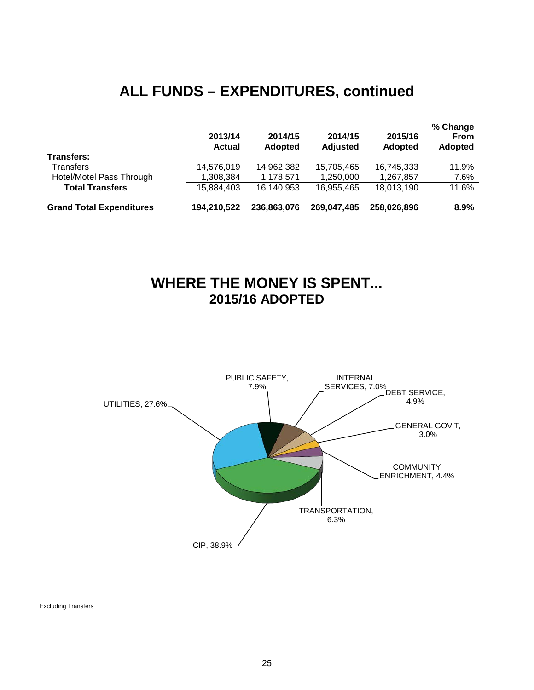### **ALL FUNDS – EXPENDITURES, continued**

|                                 | 2013/14<br><b>Actual</b> | 2014/15<br><b>Adopted</b> | 2014/15<br><b>Adjusted</b> | 2015/16<br><b>Adopted</b> | % Change<br><b>From</b><br><b>Adopted</b> |
|---------------------------------|--------------------------|---------------------------|----------------------------|---------------------------|-------------------------------------------|
| <b>Transfers:</b>               |                          |                           |                            |                           |                                           |
| Transfers                       | 14,576,019               | 14,962,382                | 15,705,465                 | 16,745,333                | 11.9%                                     |
| Hotel/Motel Pass Through        | 1,308,384                | 1,178,571                 | 1,250,000                  | 1,267,857                 | 7.6%                                      |
| <b>Total Transfers</b>          | 15,884,403               | 16,140,953                | 16,955,465                 | 18,013,190                | 11.6%                                     |
| <b>Grand Total Expenditures</b> | 194.210.522              | 236,863,076               | 269,047,485                | 258,026,896               | $8.9\%$                                   |

### **WHERE THE MONEY IS SPENT... 2015/16 ADOPTED**



Excluding Transfers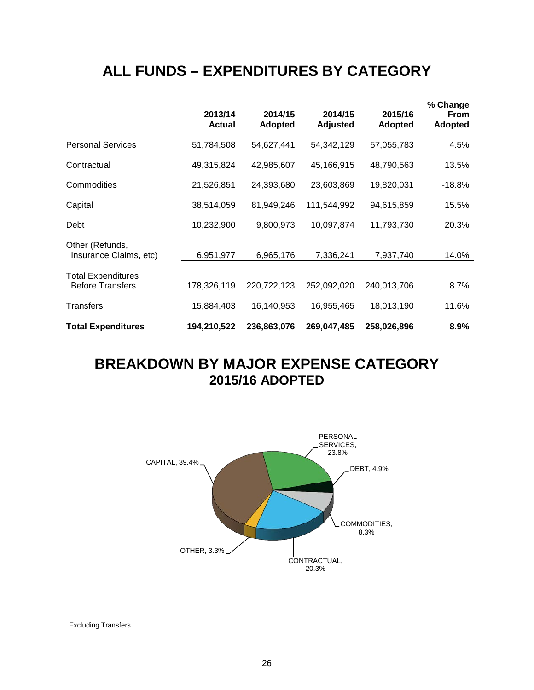### **ALL FUNDS – EXPENDITURES BY CATEGORY**

|                                                      | 2013/14<br><b>Actual</b> | 2014/15<br><b>Adopted</b> | 2014/15<br><b>Adjusted</b> | 2015/16<br><b>Adopted</b> | % Change<br><b>From</b><br><b>Adopted</b> |
|------------------------------------------------------|--------------------------|---------------------------|----------------------------|---------------------------|-------------------------------------------|
| <b>Personal Services</b>                             | 51,784,508               | 54,627,441                | 54,342,129                 | 57,055,783                | 4.5%                                      |
| Contractual                                          | 49,315,824               | 42,985,607                | 45,166,915                 | 48,790,563                | 13.5%                                     |
| Commodities                                          | 21,526,851               | 24,393,680                | 23,603,869                 | 19,820,031                | $-18.8%$                                  |
| Capital                                              | 38,514,059               | 81,949,246                | 111,544,992                | 94,615,859                | 15.5%                                     |
| Debt                                                 | 10,232,900               | 9,800,973                 | 10,097,874                 | 11,793,730                | 20.3%                                     |
| Other (Refunds,<br>Insurance Claims, etc)            | 6,951,977                | 6,965,176                 | 7,336,241                  | 7,937,740                 | 14.0%                                     |
| <b>Total Expenditures</b><br><b>Before Transfers</b> | 178,326,119              | 220,722,123               | 252,092,020                | 240,013,706               | 8.7%                                      |
| Transfers                                            | 15,884,403               | 16,140,953                | 16,955,465                 | 18,013,190                | 11.6%                                     |
| <b>Total Expenditures</b>                            | 194,210,522              | 236,863,076               | 269,047,485                | 258,026,896               | 8.9%                                      |

### **BREAKDOWN BY MAJOR EXPENSE CATEGORY 2015/16 ADOPTED**



Excluding Transfers